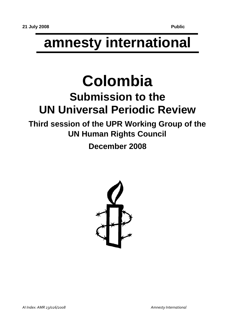# **amnesty international**

## **Colombia Submission to the UN Universal Periodic Review**

**Third session of the UPR Working Group of the UN Human Rights Council**

**December 2008**

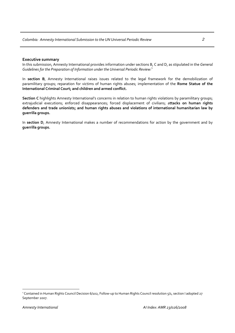#### **Executive summary**

In this submission, Amnesty International provides information under sections B, C and D, as stipulated in the *General Guidelines for the Preparation of Information under the Universal Periodic Review:*[1](#page-1-0)

In **section B**, Amnesty International raises issues related to the legal framework for the demobilization of paramilitary groups; reparation for victims of human rights abuses; implementation of the **Rome Statue of the International Criminal Court; and children and armed conflict.** 

**Section C** highlights Amnesty International's concerns in relation to human rights violations by paramilitary groups; extrajudicial executions; enforced disappearances; forced displacement of civilians; a**ttacks on human rights defenders and trade unionists; and human rights abuses and violations of international humanitarian law by guerrilla groups.** 

In **section D**, Amnesty International makes a number of recommendations for action by the government and by **guerrilla groups.** 

 $\overline{a}$ 

<span id="page-1-0"></span><sup>1</sup> Contained in Human Rights Council Decision 6/102, Follow‐up to Human Rights Council resolution 5/1, section I adopted 27 September 2007.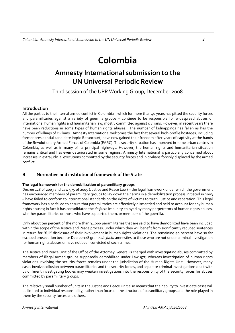### **Colombia**

### **Amnesty International submission to the UN Universal Periodic Review**

Third session of the UPR Working Group, December 2008

#### **Introduction**

All the parties to the internal armed conflict in Colombia – which for more than 40 years has pitted the security forces and paramilitaries against a variety of guerrilla groups – continue to be responsible for widespread abuses of international human rights and humanitarian law, mostly committed against civilians. However, in recent years there have been reductions in some types of human rights abuses. The number of kidnappings has fallen as has the number of killings of civilians. Amnesty International welcomes the fact that several high‐profile hostages, including former presidential candidate Ingrid Betancourt, have now gained their freedom after years of captivity at the hands of the Revolutionary Armed Forces of Colombia (FARC). The security situation has improved in some urban centres in Colombia, as well as in many of its principal highways. However, the human rights and humanitarian situation remains critical and has even deteriorated in some regions. Amnesty International is particularly concerned about increases in extrajudicial executions committed by the security forces and in civilians forcibly displaced by the armed conflict.

#### **B. Normative and institutional framework of the State**

#### **The legal framework for the demobilization of paramilitary groups**

Decree 128 of 2003 and Law 975 of 2005 (Justice and Peace Law) – the legal framework under which the government has encouraged members of paramilitary groups to lay down their arms in a demobilization process initiated in 2003 – have failed to conform to international standards on the rights of victims to truth, justice and reparation. This legal framework has also failed to ensure that paramilitaries are effectively dismantled and held to account for any human rights abuses; in fact it has consolidated the *de facto* impunity enjoyed by many perpetrators of human rights abuses, whether paramilitaries or those who have supported them, or members of the guerrilla.

Only about ten percent of the more than 31,000 paramilitaries that are said to have demobilized have been included within the scope of the Justice and Peace process, under which they will benefit from significantly reduced sentences in return for "full" disclosure of their involvement in human rights violations. The remaining 90 percent have so far escaped prosecution because Decree 128 grants *de facto* amnesties to those who are not under criminal investigation for human rights abuses or have not been convicted of such crimes.

The Justice and Peace Unit of the Office of the Attorney General is charged with investigating abuses committed by members of illegal armed groups supposedly demobilized under Law 975, whereas investigation of human rights violations involving the security forces remains under the jurisdiction of the Human Rights Unit. However, many cases involve collusion between paramilitaries and the security forces, and separate criminal investigations dealt with by different investigating bodies may weaken investigations into the responsibility of the security forces for abuses committed by paramilitary groups.

The relatively small number of units in the Justice and Peace Unit also means that their ability to investigate cases will be limited to individual responsibility, rather than focus on the structure of paramilitary groups and the role played in them by the security forces and others.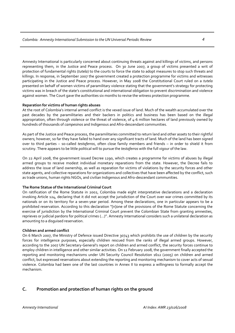Amnesty International is particularly concerned about continuing threats against and killings of victims, and persons representing them, in the Justice and Peace process. On 30 June 2007, a group of victims presented a writ of protection of fundamental rights (*tutela*) to the courts to force the state to adopt measures to stop such threats and killings. In response, in September 2007 the government created a protection programme for victims and witnesses participating in the Justice and Peace process. However, in May 2008 the Constitutional Court ruled on a *tutela* presented on behalf of women victims of paramilitary violence stating that the government's strategy for protecting victims was in breach of the state's constitutional and international obligation to prevent discrimination and violence against women. The Court gave the authorities six months to revise the witness protection programme.

#### **Reparation for victims of human rights abuses**

At the root of Colombia's internal armed conflict is the vexed issue of land. Much of the wealth accumulated over the past decades by the paramilitaries and their backers in politics and business has been based on the illegal appropriation, often through violence or the threat of violence, of 4‐6 million hectares of land previously owned by hundreds of thousands of *campesinos* and Indigenous and Afro‐descendant communities.

As part of the Justice and Peace process, the paramilitaries committed to return land and other assets to their rightful owners; however, so far they have failed to hand over any significant tracts of land. Much of the land has been signed over to third parties – so‐called *testaferros*, often close family members and friends – in order to shield it from scrutiny. There appears to be little political will to pursue the *testaferros* with the full vigour of the law.

On 22 April 2008, the government issued Decree 1290, which creates a programme for victims of abuses by illegal armed groups to receive modest individual monetary reparations from the state. However, the Decree fails to address the issue of land ownership, as well as reparation for victims of violations by the security forces and other state agents, and collective reparations for organizations and collectives that have been affected by the conflict, such as trade unions, human rights NGOs, and civilian Indigenous and Afro-descendant communities.

#### **The Rome Statue of the International Criminal Court**

On ratification of the Rome Statute in 2002, Colombia made eight interpretative declarations and a declaration invoking Article 124, declaring that it did not accept the jurisdiction of the Court over war crimes committed by its nationals or on its territory for a seven‐year period. Among these declarations, one in particular appears to be a prohibited reservation. According to this declaration "[n]one of the provisions of the Rome Statute concerning the exercise of jurisdiction by the International Criminal Court prevent the Colombian State from granting amnesties, reprieves or judicial pardons for political crimes (...)". Amnesty International considers such a unilateral declaration as amounting to a disguised reservation.

#### **Children and armed conflict**

On 6 March 2007, the Ministry of Defence issued Directive 30743 which prohibits the use of children by the security forces for intelligence purposes, especially children rescued from the ranks of illegal armed groups. However, according to the 2007 UN Secretary‐General's report on children and armed conflict, the security forces continue to employ children in intelligence and other similar activities. On 12 February 2008, the government finally accepted the reporting and monitoring mechanisms under UN Security Council Resolution 1612 (2005) on children and armed conflict, but expressed reservations about extending the reporting and monitoring mechanism to cover acts of sexual violence. Colombia had been one of the last countries in Annex II to express a willingness to formally accept the mechanism.

#### **C. Promotion and protection of human rights on the ground**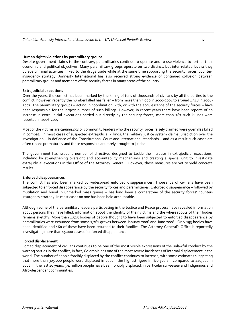#### **Human rights violations by paramilitary groups**

Despite government claims to the contrary, paramilitaries continue to operate and to use violence to further their economic and political objectives. Many paramilitary groups operate on two distinct, but inter-related levels: they pursue criminal activities linked to the drugs trade while at the same time supporting the security forces' counter‐ insurgency strategy. Amnesty International has also received strong evidence of continued collusion between paramilitary groups and members of the security forces in many areas of the country.

#### **Extrajudicial executions**

Over the years, the conflict has been marked by the killing of tens of thousands of civilians by all the parties to the conflict; however, recently the number killed has fallen – from more than 5,000 in 2000-2001 to around 1,348 in 2006-2007. The paramilitary groups – acting in coordination with, or with the acquiescence of the security forces – have been responsible for the largest number of such killings. However, in recent years there have been reports of an increase in extrajudicial executions carried out directly by the security forces; more than 287 such killings were reported in 2006‐2007.

Most of the victims are *campesinos* or community leaders who the security forces falsely claimed were guerrillas killed in combat. In most cases of suspected extrajudicial killings, the military justice system claims jurisdiction over the investigation – in defiance of the Constitutional Court and international standards – and as a result such cases are often closed prematurely and those responsible are rarely brought to justice.

The government has issued a number of directives designed to tackle the increase in extrajudicial executions, including by strengthening oversight and accountability mechanisms and creating a special unit to investigate extrajudicial executions in the Office of the Attorney General. However, these measures are yet to yield concrete results.

#### **Enforced disappearances**

The conflict has also been marked by widespread enforced disappearances. Thousands of civilians have been subjected to enforced disappearance by the security forces and paramilitaries. Enforced disappearance – followed by mutilation and burial in unmarked mass graves – has long been a cornerstone of the security forces' counter‐ insurgency strategy. In most cases no one has been held accountable.

Although some of the paramilitary leaders participating in the Justice and Peace process have revealed information about persons they have killed, information about the identity of their victims and the whereabouts of their bodies remains sketchy. More than 1,525 bodies of people thought to have been subjected to enforced disappearance by paramilitaries were exhumed from some 1,261 graves between January 2006 and June 2008. Only 193 bodies have been identified and 160 of these have been returned to their families. The Attorney General's Office is reportedly investigating more than 15,000 cases of enforced disappearance.

#### **Forced displacement**

Forced displacement of civilians continues to be one of the most visible expressions of the unlawful conduct by the warring parties in the conflict; in fact, Colombia has one of the most severe incidences of internal displacement in the world. The number of people forcibly displaced by the conflict continues to increase, with some estimates suggesting that more than 305,000 people were displaced in 2007 – the highest figure in five years – compared to 220,000 in 2006. In the last 20 years, 3‐4 million people have been forcibly displaced, in particular *campesino* and Indigenous and Afro‐descendant communities.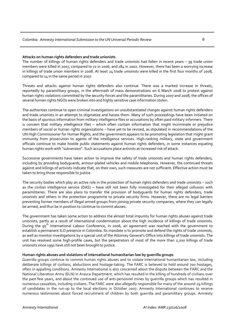#### **Attacks on human rights defenders and trade unionists**

The number of killings of human rights defenders and trade unionists had fallen in recent years – 39 trade union members were killed in 2007, compared to 72 in 2006, and 184 in 2002. However, there has been a worrying increase in killings of trade union members in 2008. At least 24 trade unionists were killed in the first four months of 2008, compared to 14 in the same period in 2007.

Threats and attacks against human rights defenders also continue. There was a marked increase in threats, reportedly by paramilitary groups, in the aftermath of mass demonstrations on 6 March 2008 to protest against human rights violations committed by the security forces and the paramilitaries. During 2007 and 2008, the offices of several human rights NGOs were broken into and highly sensitive case information stolen.

The authorities continue to open criminal investigations on unsubstantiated charges against human rights defenders and trade unionists in an attempt to stigmatize and harass them. Many of such proceedings have been initiated on the basis of spurious information from military intelligence files or accusations by often paid military informers. There is concern that military intelligence files – which often contain information that might incriminate or prejudice members of social or human rights organizations – have yet to be revised, as stipulated in recommendations of the UN High Commissioner for Human Rights, and the government appears to be promoting legislation that might grant immunity from prosecution to agents of the intelligence services. High-ranking military, state and government officials continue to make hostile public statements against human rights defenders, in some instances equating human rights work with "subversion". Such accusations place activists at increased risk of attack.

Successive governments have taken action to improve the safety of trade unionists and human rights defenders, including by providing bodyguards, armour‐plated vehicles and mobile telephones. However, the continued threats against and killings of activists indicate that, on their own, such measures are not sufficient. Effective action must be taken to bring those responsible to justice.

The security bodies which play an active role in the protection of human rights defenders and trade unionists – such as the civilian intelligence service (DAS) – have still not been fully investigated for their alleged collusion with paramilitaries. There are also plans to transfer the provision of bodyguards for human rights defenders, trade unionists and others in the protection programme to private security firms. However, there are no legal barriers preventing former members of illegal armed groups from joining private security companies, where they can legally be armed, and thus be in position to continue to commit abuses.

The government has taken some action to address the almost total impunity for human rights abuses against trade unionists, partly as a result of international condemnation about the high incidence of killings of trade unionists. During the 95<sup>th</sup> International Labour Conference, in 2006, an agreement was reached with the government to establish a permanent ILO presence in Colombia. Its mandate is to promote and defend the rights of trade unionists, as well as monitor investigations by a special unit of the Attorney General's Office into killings of trade unionists. The unit has resolved some high-profile cases, but the perpetrators of most of the more than 2,200 killings of trade unionists since 1991 have still not been brought to justice.

#### **Human rights abuses and violations of international humanitarian law by guerrilla groups**

Guerrilla groups continue to commit human rights abuses and to violate international humanitarian law, including deliberate killings of civilians, abductions and hostage-taking. The FARC is believed to hold around 700 hostages, often in appalling conditions. Amnesty International is also concerned about the dispute between the FARC and the National Liberation Army (ELN) in Arauca Department, which has resulted in the killing of hundreds of civilians over the past few years, and about the continued use of anti‐personnel mines by guerrilla groups which has resulted in numerous casualties, including civilians. The FARC were also allegedly responsible for many of the around 29 killings of candidates in the run‐up to the local elections in October 2007. Amnesty International continues to receive numerous testimonies about forced recruitment of children by both guerrilla and paramilitary groups. Amnesty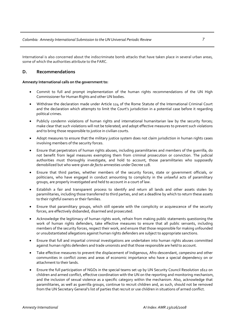International is also concerned about the indiscriminate bomb attacks that have taken place in several urban areas, some of which the authorities attribute to the FARC.

#### **D. Recommendations**

#### **Amnesty International calls on the government to:**

- Commit to full and prompt implementation of the human rights recommendations of the UN High Commissioner for Human Rights and other UN bodies.
- Withdraw the declaration made under Article 124 of the Rome Statute of the International Criminal Court and the declaration which attempts to limit the Court's jurisdiction in a potential case before it regarding political crimes.
- Publicly condemn violations of human rights and international humanitarian law by the security forces; make clear that such violations will not be tolerated; and adopt effective measures to prevent such violations and to bring those responsible to justice in civilian courts.
- Adopt measures to ensure that the military justice system does not claim jurisdiction in human rights cases involving members of the security forces.
- Ensure that perpetrators of human rights abuses, including paramilitaries and members of the guerrilla, do not benefit from legal measures exempting them from criminal prosecution or conviction. The judicial authorities must thoroughly investigate, and hold to account, those paramilitaries who supposedly demobilized but who were given *de facto* amnesties under Decree 128.
- Ensure that third parties, whether members of the security forces, state or government officials, or politicians, who have engaged in conduct amounting to complicity in the unlawful acts of paramilitary groups, are properly investigated and held to account in a court of law.
- Establish a fair and transparent process to identify and return all lands and other assets stolen by paramilitaries, including those transferred to third parties, and set a deadline by which to return these assets to their rightful owners or their families.
- Ensure that paramilitary groups, which still operate with the complicity or acquiescence of the security forces, are effectively disbanded, disarmed and prosecuted.
- Acknowledge the legitimacy of human rights work, refrain from making public statements questioning the work of human rights defenders, take effective measures to ensure that all public servants, including members of the security forces, respect their work, and ensure that those responsible for making unfounded or unsubstantiated allegations against human rights defenders are subject to appropriate sanctions.
- Ensure that full and impartial criminal investigations are undertaken into human rights abuses committed against human rights defenders and trade unionists and that those responsible are held to account.
- Take effective measures to prevent the displacement of Indigenous, Afro‐descendant, *campesino* and other communities in conflict zones and areas of economic importance who have a special dependency on or attachment to their lands.
- Ensure the full participation of NGOs in the special teams set up by UN Security Council Resolution 1612 on children and armed conflict, effective coordination with the UN on the reporting and monitoring mechanism, and the inclusion of sexual violence as a specific category within the mechanism. Also, acknowledge that paramilitaries, as well as guerrilla groups, continue to recruit children and, as such, should not be removed from the UN Secretary General's list of parties that recruit or use children in situations of armed conflict.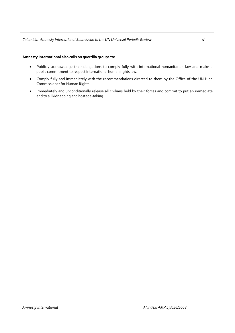#### **Amnesty International also calls on guerrilla groups to:**

- Publicly acknowledge their obligations to comply fully with international humanitarian law and make a public commitment to respect international human rights law.
- Comply fully and immediately with the recommendations directed to them by the Office of the UN High Commissioner for Human Rights.
- Immediately and unconditionally release all civilians held by their forces and commit to put an immediate end to all kidnapping and hostage-taking.